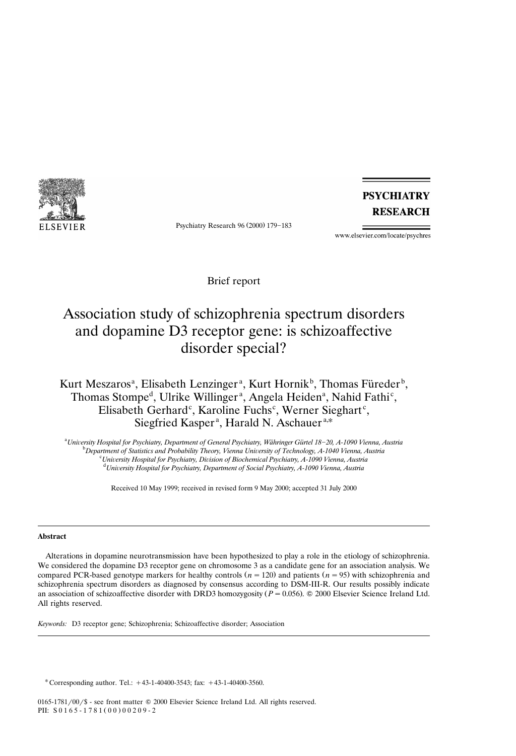

Psychiatry Research 96 (2000) 179-183

**PSYCHIATRY RESEARCH** 

www.elsevier.com/locate/psychres

Brief report

# Association study of schizophrenia spectrum disorders and dopamine D3 receptor gene: is schizoaffective disorder special?

# Kurt Meszaros<sup>a</sup>, Elisabeth Lenzinger<sup>a</sup>, Kurt Hornik<sup>b</sup>, Thomas Füreder<sup>b</sup>, Thomas Stompe<sup>d</sup>, Ulrike Willinger<sup>a</sup>, Angela Heiden<sup>a</sup>, Nahid Fathi<sup>c</sup>, Elisabeth Gerhard<sup>c</sup>, Karoline Fuchs<sup>c</sup>, Werner Sieghart<sup>c</sup>, Siegfried Kasper<sup>a</sup>, Harald N. Aschauer<sup>a,\*</sup>

<sup>a</sup> University Hospital for Psychiatry, Department of General Psychiatry, Währinger Gürtel 18–20, A-1090 Vienna, Austria<br><sup>b</sup> Department of Statistics and Probability Theory, Vienna University of Technology, A, 1040 Vienna, <sup>*D</sup>Department of Statistics and Probability Theory, Vienna University of Technology, A-1040 Vienna, Austria*</sup> <sup>c</sup> University Hospital for Psychiatry, Division of Biochemical Psychiatry, A-1090 Vienna, Austria *Uni*¨*ersity Hospital for Psychiatry, Department of Social Psychiatry, A-1090 Vienna, Austria*

Received 10 May 1999; received in revised form 9 May 2000; accepted 31 July 2000

## **Abstract**

Alterations in dopamine neurotransmission have been hypothesized to play a role in the etiology of schizophrenia. We considered the dopamine D3 receptor gene on chromosome 3 as a candidate gene for an association analysis. We compared PCR-based genotype markers for healthy controls  $(n = 120)$  and patients  $(n = 95)$  with schizophrenia and schizophrenia spectrum disorders as diagnosed by consensus according to DSM-III-R. Our results possibly indicate an association of schizoaffective disorder with DRD3 homozygosity  $(P = 0.056)$ . © 2000 Elsevier Science Ireland Ltd. All rights reserved.

*Keywords:* D3 receptor gene; Schizophrenia; Schizoaffective disorder; Association

\* Corresponding author. Tel.:  $+43-1-40400-3543$ ; fax:  $+43-1-40400-3560$ .

0165-1781/00/\$ - see front matter  $@$  2000 Elsevier Science Ireland Ltd. All rights reserved. PII:  $S 0 1 6 5 - 1 7 8 1 (0 0) 0 0 2 0 9 - 2$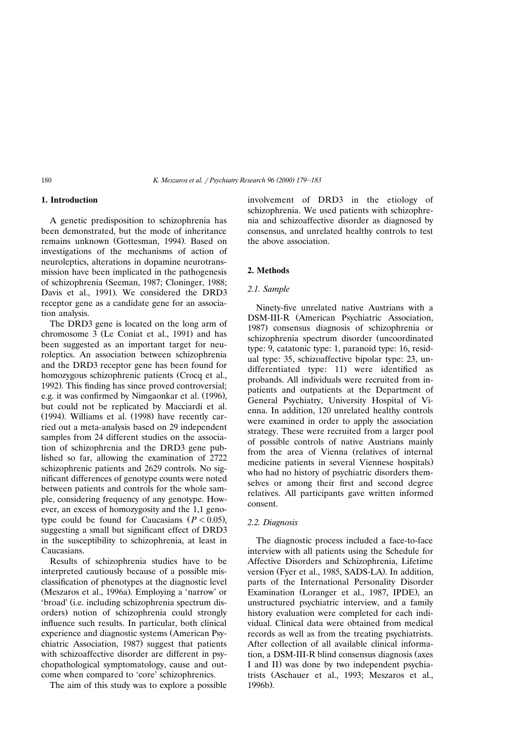## **1. Introduction**

A genetic predisposition to schizophrenia has been demonstrated, but the mode of inheritance remains unknown (Gottesman, 1994). Based on investigations of the mechanisms of action of neuroleptics, alterations in dopamine neurotransmission have been implicated in the pathogenesis of schizophrenia (Seeman, 1987; Cloninger, 1988; Davis et al., 1991). We considered the DRD3 receptor gene as a candidate gene for an association analysis.

The DRD3 gene is located on the long arm of chromosome 3 (Le Coniat et al., 1991) and has been suggested as an important target for neuroleptics. An association between schizophrenia and the DRD3 receptor gene has been found for homozygous schizophrenic patients (Crocq et al., 1992). This finding has since proved controversial; e.g. it was confirmed by Nimgaonkar et al. (1996), but could not be replicated by Macciardi et al. (1994). Williams et al.  $(1998)$  have recently carried out a meta-analysis based on 29 independent samples from 24 different studies on the association of schizophrenia and the DRD3 gene published so far, allowing the examination of 2722 schizophrenic patients and 2629 controls. No significant differences of genotype counts were noted between patients and controls for the whole sample, considering frequency of any genotype. However, an excess of homozygosity and the 1,1 genotype could be found for Caucasians  $(P < 0.05)$ , suggesting a small but significant effect of DRD3 in the susceptibility to schizophrenia, at least in Caucasians.

Results of schizophrenia studies have to be interpreted cautiously because of a possible misclassification of phenotypes at the diagnostic level (Meszaros et al., 1996a). Employing a 'narrow' or 'broad' (i.e. including schizophrenia spectrum disorders) notion of schizophrenia could strongly influence such results. In particular, both clinical experience and diagnostic systems (American Psychiatric Association, 1987) suggest that patients with schizoaffective disorder are different in psychopathological symptomatology, cause and outcome when compared to 'core' schizophrenics.

The aim of this study was to explore a possible

involvement of DRD3 in the etiology of schizophrenia. We used patients with schizophrenia and schizoaffective disorder as diagnosed by consensus, and unrelated healthy controls to test the above association.

# **2. Methods**

## *2.1. Sample*

Ninety-five unrelated native Austrians with a DSM-III-R (American Psychiatric Association, 1987) consensus diagnosis of schizophrenia or schizophrenia spectrum disorder (uncoordinated type: 9, catatonic type: 1, paranoid type: 16, residual type: 35, schizoaffective bipolar type: 23, undifferentiated type: 11) were identified as probands. All individuals were recruited from inpatients and outpatients at the Department of General Psychiatry, University Hospital of Vienna. In addition, 120 unrelated healthy controls were examined in order to apply the association strategy. These were recruited from a larger pool of possible controls of native Austrians mainly from the area of Vienna (relatives of internal medicine patients in several Viennese hospitals. who had no history of psychiatric disorders themselves or among their first and second degree relatives. All participants gave written informed consent.

#### *2.2. Diagnosis*

The diagnostic process included a face-to-face interview with all patients using the Schedule for Affective Disorders and Schizophrenia, Lifetime version (Fyer et al., 1985, SADS-LA). In addition, parts of the International Personality Disorder Examination (Loranger et al., 1987, IPDE), an unstructured psychiatric interview, and a family history evaluation were completed for each individual. Clinical data were obtained from medical records as well as from the treating psychiatrists. After collection of all available clinical information, a DSM-III-R blind consensus diagnosis (axes I and II) was done by two independent psychiatrists (Aschauer et al., 1993; Meszaros et al.,  $1996<sub>b</sub>$ .